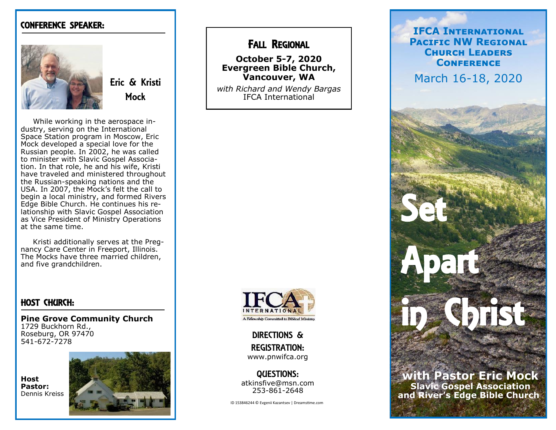### CONFERENCE SPEAKER:



Eric & Kristi Mock

 While working in the aerospace industry, serving on the International Space Station program in Moscow, Eric Mock developed a special love for the Russian people. In 2002, he was called to minister with Slavic Gospel Association. In that role, he and his wife, Kristi have traveled and ministered throughout the Russian -speaking nations and the USA. In 2007, the Mock 's felt the call to begin a local ministry, and formed Rivers Edge Bible Church. He continues his relationship with Slavic Gospel Association as Vice President of Ministry Operations at the same time.

 Kristi additionally serves at the Pregnancy Care Center in Freeport, Illinois. The Mocks have three married children, and five grandchildren.

### HOST CHURCH:

**Pine Grove Community Church** 1729 Buckhorn Rd., Roseburg, OR 97470 541 -672 -7278





## FALL REGIONAL

**October 5 -7, 2020 Evergreen Bible Church, Vancouver, WA**

*with Richard and Wendy Bargas* IFCA International



DIRECTIONS & REGISTRATION: www.pnwifca.org

QUESTIONS: atkinsfive@msn.com 253 -861 -2648

ID 153846244 © Evgenii Kazantsev | Dreamstime.com

**IFCA International Pacific NW Regional Church Leaders Conference**

March 16 -18, 2020

Set:

**Apart** 

**with Pastor Eric Mock Slavic Gospel Association and River 's Edge Bible Church**

in Christ